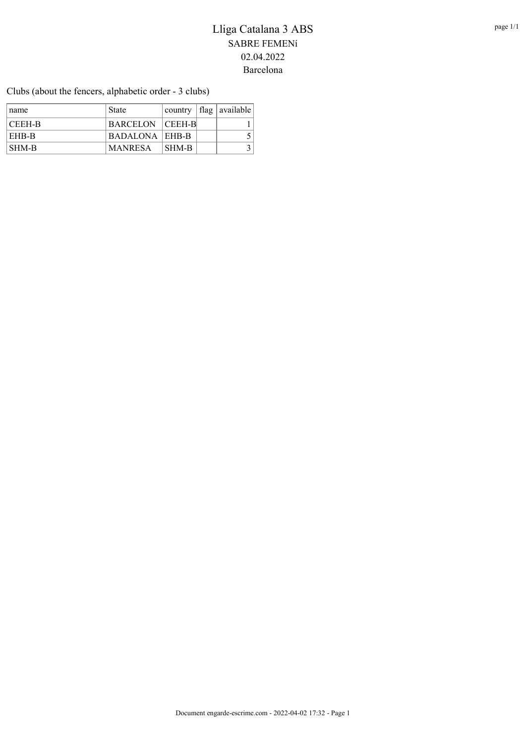Clubs (about the fencers, alphabetic order - 3 clubs)

| name   | State            |                           | country   flag   available |
|--------|------------------|---------------------------|----------------------------|
| CEEH-B | BARCELON CEEH-B  |                           |                            |
| EHB-B  | BADALONA   EHB-B |                           |                            |
| SHM-B  | MANRESA          | $\overline{\text{SHM-B}}$ |                            |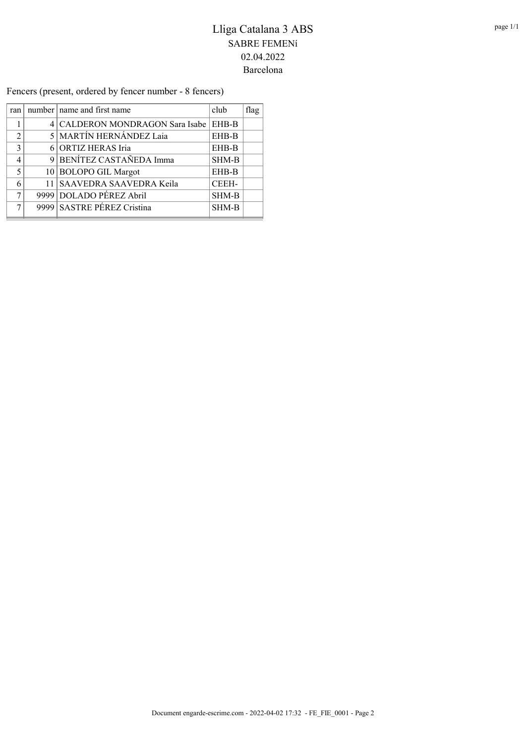Fencers (present, ordered by fencer number - 8 fencers)

| ran            | number   name and first name    | club         | flag |
|----------------|---------------------------------|--------------|------|
|                | 4 CALDERON MONDRAGON Sara Isabe | EHB-B        |      |
| $\mathfrak{D}$ | <b>5 MARTÍN HERNÁNDEZ Laia</b>  | EHB-B        |      |
| $\mathcal{R}$  | 6 ORTIZ HERAS Iria              | EHB-B        |      |
| 4              | 9 BENÍTEZ CASTAÑEDA Imma        | <b>SHM-B</b> |      |
| $\varsigma$    | 10 BOLOPO GIL Margot            | EHB-B        |      |
| 6              | 11 SAAVEDRA SAAVEDRA Keila      | CEEH-        |      |
| 7              | 9999 DOLADO PÉREZ Abril         | SHM-B        |      |
| 7              | 9999 SASTRE PÉREZ Cristina      | SHM-B        |      |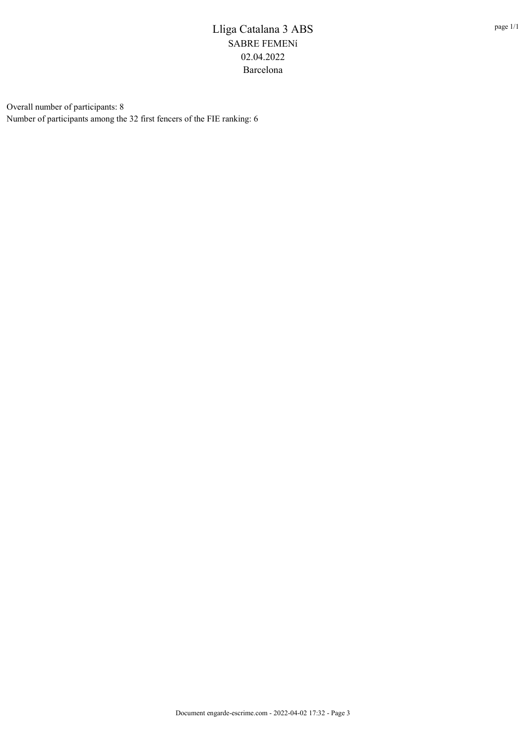Overall number of participants: 8 Number of participants among the 32 first fencers of the FIE ranking: 6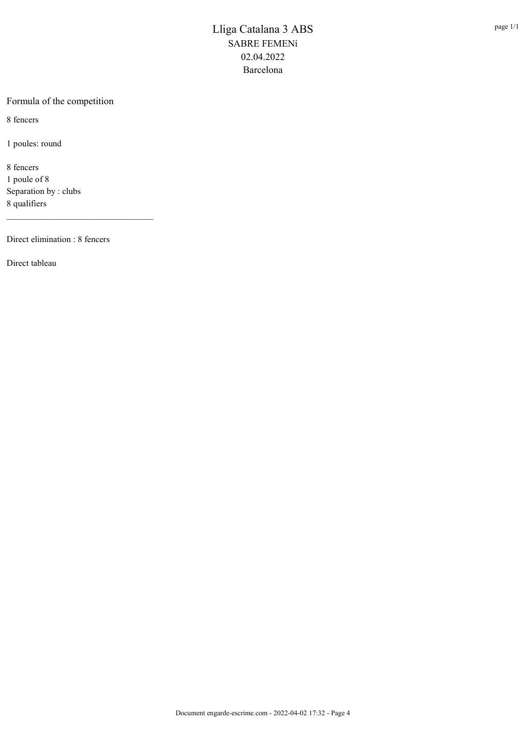#### Formula of the competition

8 fencers

1 poules: round

8 fencers 1 poule of 8 Separation by : clubs 8 qualifiers

Direct elimination : 8 fencers

\_\_\_\_\_\_\_\_\_\_\_\_\_\_\_\_\_\_\_\_\_\_\_\_\_\_\_\_\_\_\_\_\_

Direct tableau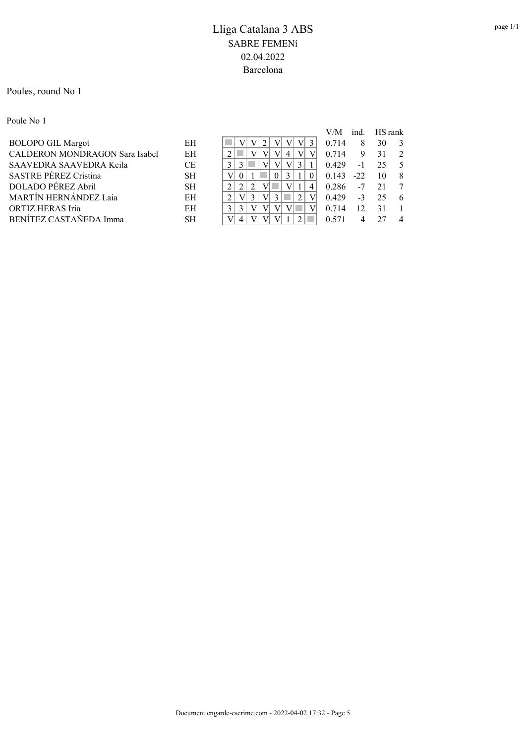#### Poules, round No 1

Poule No 1

| V/M   | ind.   | HS rank |                 |
|-------|--------|---------|-----------------|
| 0.714 | 8      | 30      | -3              |
| 0.714 | 9      | 31      | 2               |
| 0.429 | $-1$   | 25      | $\sim$ 5        |
|       | $-22.$ | 10      | -8              |
| 0.286 |        |         | $7\phantom{.0}$ |
| 0.429 | $-3$   | 25      | -6              |
| 0.714 | 12     | 31      |                 |
|       |        |         |                 |
|       |        | 0.143   | $-7$ 21         |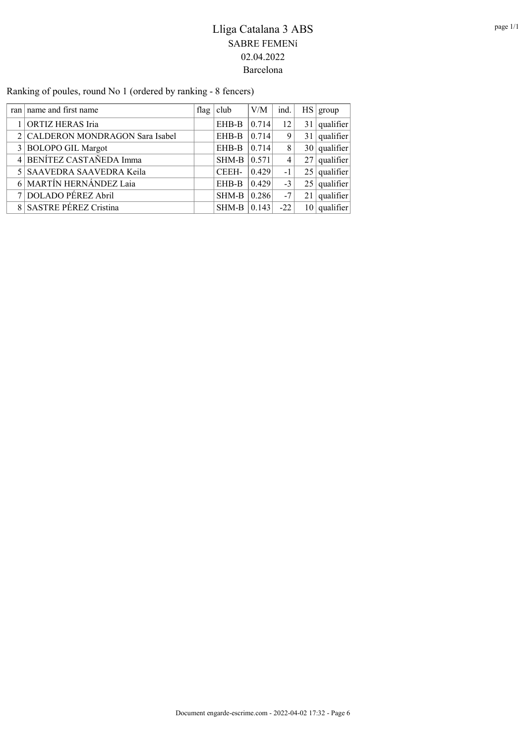Ranking of poules, round No 1 (ordered by ranking - 8 fencers)

| ran name and first name          | flag $ $ club | V/M   | ind.  |                 | HS   group     |
|----------------------------------|---------------|-------|-------|-----------------|----------------|
| 1 ORTIZ HERAS Iria               | EHB-B         | 0.714 | 12    |                 | $31$ qualifier |
| 2 CALDERON MONDRAGON Sara Isabel | EHB-B         | 0.714 | 9     |                 | $31$ qualifier |
| 3 BOLOPO GIL Margot              | EHB-B         | 0.714 | 8     |                 | $30$ qualifier |
| 4 BENÍTEZ CASTAÑEDA Imma         | SHM-B         | 0.571 | 4     |                 | $27$ qualifier |
| 5 SAAVEDRA SAAVEDRA Keila        | CEEH-         | 0.429 | $-1$  |                 | $25$ qualifier |
| 6 MARTÍN HERNÁNDEZ Laia          | EHB-B         | 0.429 | $-3$  |                 | $25$ qualifier |
| 7 DOLADO PÉREZ Abril             | SHM-B         | 0.286 | $-7$  | 21 <sup>1</sup> | qualifier      |
| 8 SASTRE PÉREZ Cristina          | SHM-B         | 0.143 | $-22$ |                 | $10$ qualifier |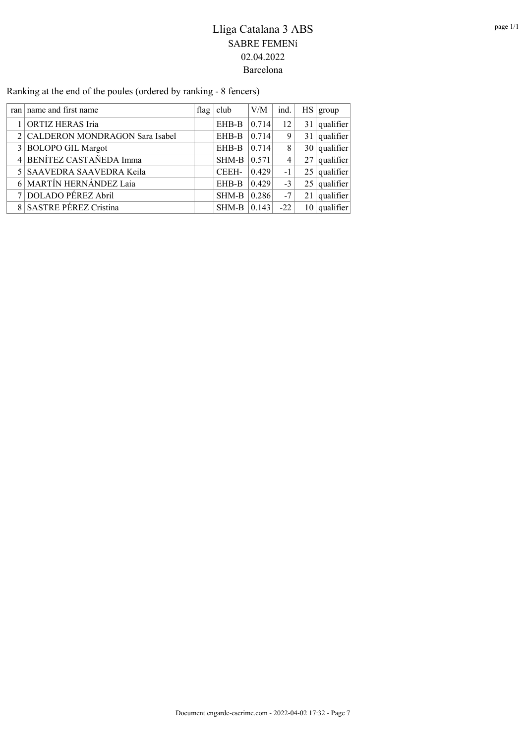Ranking at the end of the poules (ordered by ranking - 8 fencers)

| ran   name and first name        | flag $ $ club | V/M   | ind.  |                 | HS   group     |
|----------------------------------|---------------|-------|-------|-----------------|----------------|
| ORTIZ HERAS Iria                 | EHB-B         | 0.714 | 12    | 31 <sup>1</sup> | qualifier      |
| 2 CALDERON MONDRAGON Sara Isabel | EHB-B         | 0.714 | 9     |                 | $31$ qualifier |
| 3 BOLOPO GIL Margot              | EHB-B         | 0.714 | 8     |                 | $30$ qualifier |
| 4 BENÍTEZ CASTAÑEDA Imma         | SHM-B         | 0.571 | 4     |                 | $27$ qualifier |
| 5 SAAVEDRA SAAVEDRA Keila        | CEEH-         | 0.429 | $-1$  |                 | $25$ qualifier |
| 6 MARTÍN HERNÁNDEZ Laia          | EHB-B         | 0.429 | $-3$  |                 | $25$ qualifier |
| 7 DOLADO PÉREZ Abril             | SHM-B         | 0.286 | $-7$  | 21              | qualifier      |
| 8 SASTRE PÉREZ Cristina          | SHM-B         | 0.143 | $-22$ | 10 I            | qualifier      |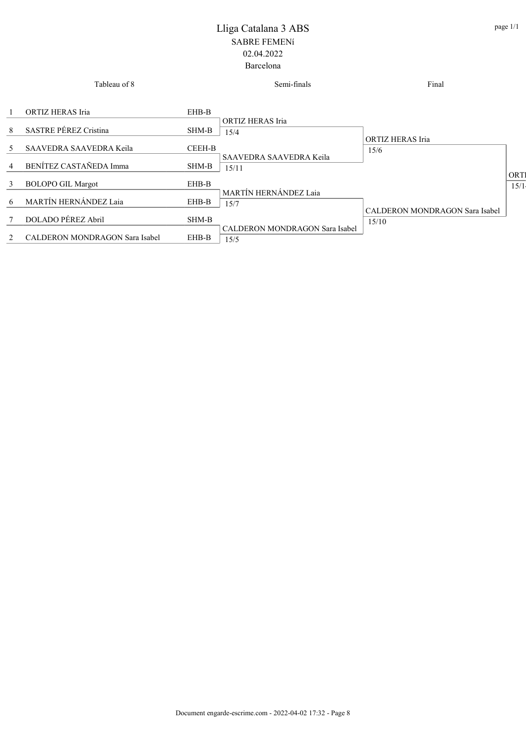|         | Tableau of 8                          |               | Semi-finals                                   | Final                          |      |
|---------|---------------------------------------|---------------|-----------------------------------------------|--------------------------------|------|
|         | ORTIZ HERAS Iria                      | EHB-B         |                                               |                                |      |
| 8       | <b>SASTRE PÉREZ Cristina</b>          | SHM-B         | ORTIZ HERAS Iria<br>15/4                      | ORTIZ HERAS Iria               |      |
| 5       | SAAVEDRA SAAVEDRA Keila               | <b>CEEH-B</b> | SAAVEDRA SAAVEDRA Keila                       | 15/6                           |      |
| 4       | BENÍTEZ CASTAÑEDA Imma                | SHM-B         | 15/11                                         |                                | ORT  |
| 3       | <b>BOLOPO GIL Margot</b>              | EHB-B         | MARTÍN HERNÁNDEZ Laia                         |                                | 15/1 |
| 6       | MARTÍN HERNÁNDEZ Laia                 | EHB-B         | 15/7                                          | CALDERON MONDRAGON Sara Isabel |      |
| 7       | DOLADO PÉREZ Abril                    | SHM-B         |                                               | 15/10                          |      |
| $2^{1}$ | <b>CALDERON MONDRAGON Sara Isabel</b> | EHB-B         | <b>CALDERON MONDRAGON Sara Isabel</b><br>15/5 |                                |      |